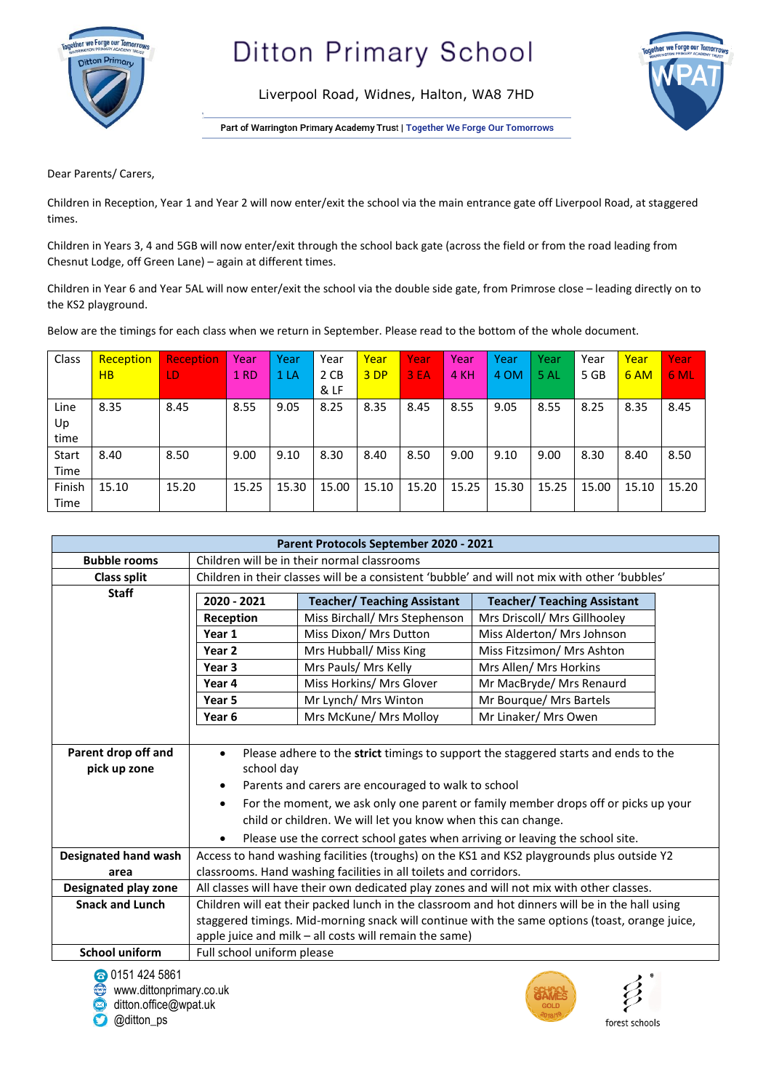

Liverpool Road, Widnes, Halton, WA8 7HD



Part of Warrington Primary Academy Trust | Together We Forge Our Tomorrows

Dear Parents/ Carers,

Children in Reception, Year 1 and Year 2 will now enter/exit the school via the main entrance gate off Liverpool Road, at staggered times.

Children in Years 3, 4 and 5GB will now enter/exit through the school back gate (across the field or from the road leading from Chesnut Lodge, off Green Lane) – again at different times.

Children in Year 6 and Year 5AL will now enter/exit the school via the double side gate, from Primrose close – leading directly on to the KS2 playground.

Below are the timings for each class when we return in September. Please read to the bottom of the whole document.

| Class  | Reception      | <b>Reception</b> | Year            | Year  | Year  | Year  | Year  | Year  | Year  | Year  | Year  | Year  | Year  |
|--------|----------------|------------------|-----------------|-------|-------|-------|-------|-------|-------|-------|-------|-------|-------|
|        | H <sub>B</sub> | LD.              | 1 <sub>RD</sub> | 1 LA  | 2 CB  | 3 DP  | 3 EA  | 4 KH  | 4 OM  | 5 AL  | 5 GB  | 6 AM  | 6 ML  |
|        |                |                  |                 |       | & LF  |       |       |       |       |       |       |       |       |
| Line   | 8.35           | 8.45             | 8.55            | 9.05  | 8.25  | 8.35  | 8.45  | 8.55  | 9.05  | 8.55  | 8.25  | 8.35  | 8.45  |
| Up     |                |                  |                 |       |       |       |       |       |       |       |       |       |       |
| time   |                |                  |                 |       |       |       |       |       |       |       |       |       |       |
| Start  | 8.40           | 8.50             | 9.00            | 9.10  | 8.30  | 8.40  | 8.50  | 9.00  | 9.10  | 9.00  | 8.30  | 8.40  | 8.50  |
| Time   |                |                  |                 |       |       |       |       |       |       |       |       |       |       |
| Finish | 15.10          | 15.20            | 15.25           | 15.30 | 15.00 | 15.10 | 15.20 | 15.25 | 15.30 | 15.25 | 15.00 | 15.10 | 15.20 |
| Time   |                |                  |                 |       |       |       |       |       |       |       |       |       |       |

| Parent Protocols September 2020 - 2021 |                                                                                                  |                                    |                                    |  |  |  |  |  |
|----------------------------------------|--------------------------------------------------------------------------------------------------|------------------------------------|------------------------------------|--|--|--|--|--|
| <b>Bubble rooms</b>                    | Children will be in their normal classrooms                                                      |                                    |                                    |  |  |  |  |  |
| <b>Class split</b>                     | Children in their classes will be a consistent 'bubble' and will not mix with other 'bubbles'    |                                    |                                    |  |  |  |  |  |
| <b>Staff</b>                           | 2020 - 2021                                                                                      | <b>Teacher/ Teaching Assistant</b> | <b>Teacher/ Teaching Assistant</b> |  |  |  |  |  |
|                                        | Reception                                                                                        | Miss Birchall/ Mrs Stephenson      | Mrs Driscoll/ Mrs Gillhooley       |  |  |  |  |  |
|                                        | Year 1                                                                                           | Miss Dixon/ Mrs Dutton             | Miss Alderton/ Mrs Johnson         |  |  |  |  |  |
|                                        | Year <sub>2</sub>                                                                                | Mrs Hubball/ Miss King             | Miss Fitzsimon/ Mrs Ashton         |  |  |  |  |  |
|                                        | Year <sub>3</sub>                                                                                | Mrs Pauls/ Mrs Kelly               | Mrs Allen/ Mrs Horkins             |  |  |  |  |  |
|                                        | Year 4                                                                                           | Miss Horkins/ Mrs Glover           | Mr MacBryde/ Mrs Renaurd           |  |  |  |  |  |
|                                        | Year <sub>5</sub>                                                                                | Mr Lynch/ Mrs Winton               | Mr Bourque/ Mrs Bartels            |  |  |  |  |  |
|                                        | Year <sub>6</sub>                                                                                | Mrs McKune/ Mrs Molloy             | Mr Linaker/ Mrs Owen               |  |  |  |  |  |
|                                        |                                                                                                  |                                    |                                    |  |  |  |  |  |
| Parent drop off and                    | Please adhere to the strict timings to support the staggered starts and ends to the<br>$\bullet$ |                                    |                                    |  |  |  |  |  |
| pick up zone                           | school day                                                                                       |                                    |                                    |  |  |  |  |  |
|                                        | Parents and carers are encouraged to walk to school<br>٠                                         |                                    |                                    |  |  |  |  |  |
|                                        | For the moment, we ask only one parent or family member drops off or picks up your<br>$\bullet$  |                                    |                                    |  |  |  |  |  |
|                                        | child or children. We will let you know when this can change.                                    |                                    |                                    |  |  |  |  |  |
|                                        | Please use the correct school gates when arriving or leaving the school site.                    |                                    |                                    |  |  |  |  |  |
| <b>Designated hand wash</b>            | Access to hand washing facilities (troughs) on the KS1 and KS2 playgrounds plus outside Y2       |                                    |                                    |  |  |  |  |  |
| area                                   | classrooms. Hand washing facilities in all toilets and corridors.                                |                                    |                                    |  |  |  |  |  |
| Designated play zone                   | All classes will have their own dedicated play zones and will not mix with other classes.        |                                    |                                    |  |  |  |  |  |
| <b>Snack and Lunch</b>                 | Children will eat their packed lunch in the classroom and hot dinners will be in the hall using  |                                    |                                    |  |  |  |  |  |
|                                        | staggered timings. Mid-morning snack will continue with the same options (toast, orange juice,   |                                    |                                    |  |  |  |  |  |
|                                        | apple juice and milk - all costs will remain the same)                                           |                                    |                                    |  |  |  |  |  |
| <b>School uniform</b>                  | Full school uniform please                                                                       |                                    |                                    |  |  |  |  |  |

0151424 5861

● www.dittonprimary.co.uk<br>● ditton office@wpat uk ditton.office@wpat.uk

**O**@ditton\_ps



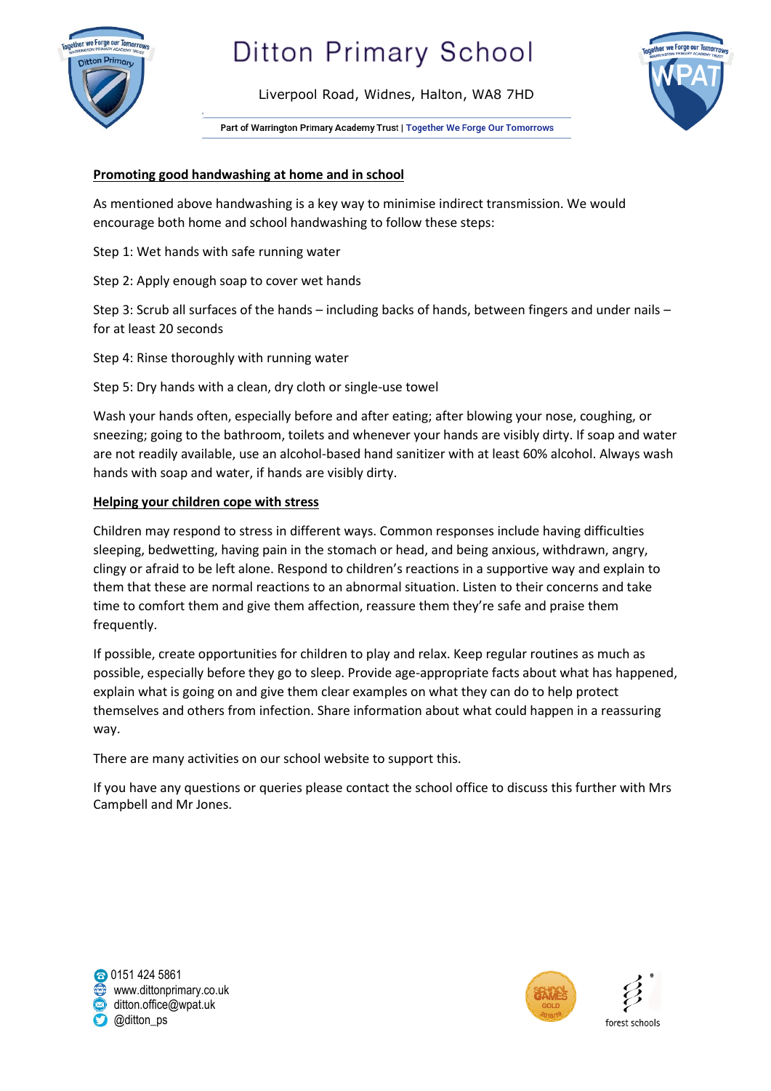

Liverpool Road, Widnes, Halton, WA8 7HD



Part of Warrington Primary Academy Trust | Together We Forge Our Tomorrows

### **Promoting good handwashing at home and in school**

As mentioned above handwashing is a key way to minimise indirect transmission. We would encourage both home and school handwashing to follow these steps:

Step 1: Wet hands with safe running water

Step 2: Apply enough soap to cover wet hands

Step 3: Scrub all surfaces of the hands – including backs of hands, between fingers and under nails – for at least 20 seconds

Step 4: Rinse thoroughly with running water

Step 5: Dry hands with a clean, dry cloth or single-use towel

Wash your hands often, especially before and after eating; after blowing your nose, coughing, or sneezing; going to the bathroom, toilets and whenever your hands are visibly dirty. If soap and water are not readily available, use an alcohol-based hand sanitizer with at least 60% alcohol. Always wash hands with soap and water, if hands are visibly dirty.

#### **Helping your children cope with stress**

Children may respond to stress in different ways. Common responses include having difficulties sleeping, bedwetting, having pain in the stomach or head, and being anxious, withdrawn, angry, clingy or afraid to be left alone. Respond to children's reactions in a supportive way and explain to them that these are normal reactions to an abnormal situation. Listen to their concerns and take time to comfort them and give them affection, reassure them they're safe and praise them frequently.

If possible, create opportunities for children to play and relax. Keep regular routines as much as possible, especially before they go to sleep. Provide age-appropriate facts about what has happened, explain what is going on and give them clear examples on what they can do to help protect themselves and others from infection. Share information about what could happen in a reassuring way.

There are many activities on our school website to support this.

If you have any questions or queries please contact the school office to discuss this further with Mrs Campbell and Mr Jones.

**c**0151 424 5861 www.dittonprimary.co.uk ditton.office@wpat.uk @ditton\_ps

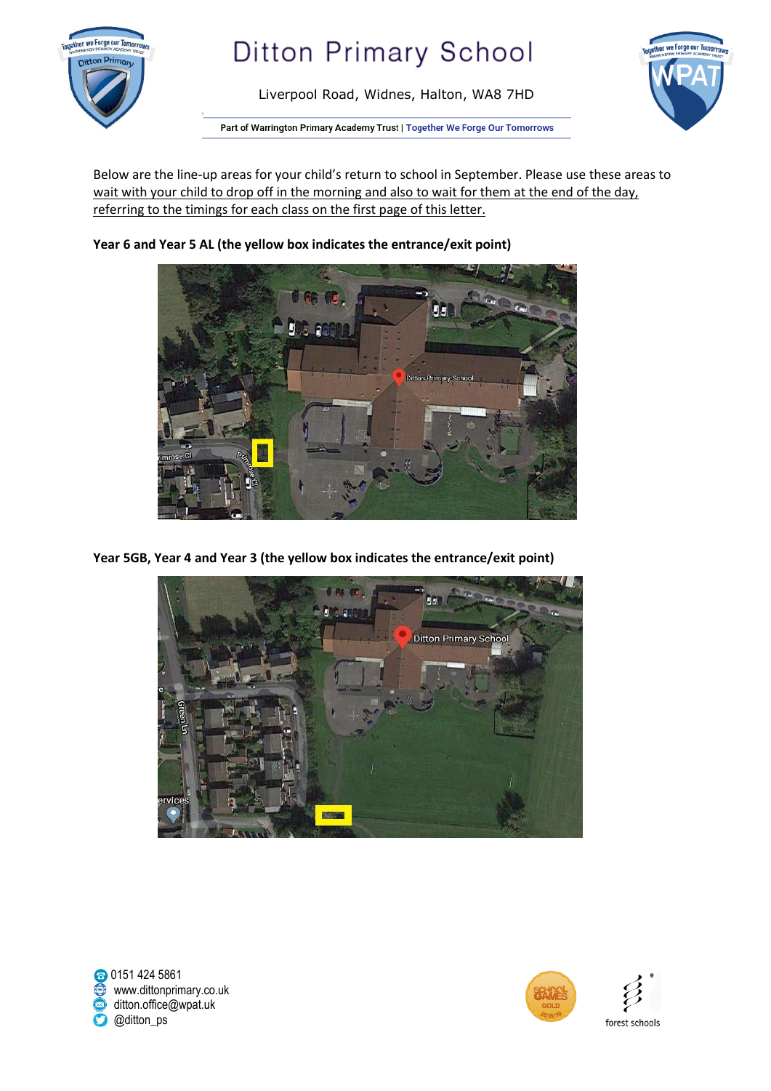

Liverpool Road, Widnes, Halton, WA8 7HD



Part of Warrington Primary Academy Trust | Together We Forge Our Tomorrows

Below are the line-up areas for your child's return to school in September. Please use these areas to wait with your child to drop off in the morning and also to wait for them at the end of the day, referring to the timings for each class on the first page of this letter.

> -200 **Ditton Primary S**

**Year 6 and Year 5 AL (the yellow box indicates the entrance/exit point)**

**Year 5GB, Year 4 and Year 3 (the yellow box indicates the entrance/exit point)**



0151424 5861 www.dittonprimary.co.uk<br>a ditton office@wpat uk ditton.office@wpat.uk **O**@ditton\_ps